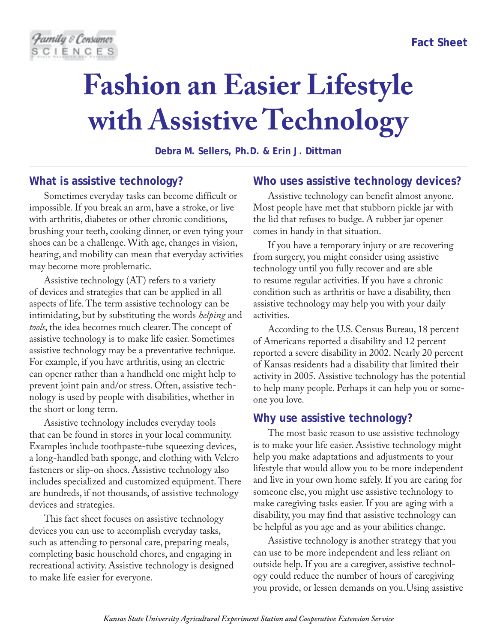# **Fashion an Easier Lifestyle with Assistive Technology**

**Debra M. Sellers, Ph.D. & Erin J. Dittman**

## **What is assistive technology?**

Sometimes everyday tasks can become difficult or impossible. If you break an arm, have a stroke, or live with arthritis, diabetes or other chronic conditions, brushing your teeth, cooking dinner, or even tying your shoes can be a challenge. With age, changes in vision, hearing, and mobility can mean that everyday activities may become more problematic.

Assistive technology (AT) refers to a variety of devices and strategies that can be applied in all aspects of life. The term assistive technology can be intimidating, but by substituting the words *helping* and *tools*, the idea becomes much clearer. The concept of assistive technology is to make life easier. Sometimes assistive technology may be a preventative technique. For example, if you have arthritis, using an electric can opener rather than a handheld one might help to prevent joint pain and/or stress. Often, assistive technology is used by people with disabilities, whether in the short or long term.

Assistive technology includes everyday tools that can be found in stores in your local community. Examples include toothpaste-tube squeezing devices, a long-handled bath sponge, and clothing with Velcro fasteners or slip-on shoes. Assistive technology also includes specialized and customized equipment. There are hundreds, if not thousands, of assistive technology devices and strategies.

This fact sheet focuses on assistive technology devices you can use to accomplish everyday tasks, such as attending to personal care, preparing meals, completing basic household chores, and engaging in recreational activity. Assistive technology is designed to make life easier for everyone.

#### **Who uses assistive technology devices?**

Assistive technology can benefit almost anyone. Most people have met that stubborn pickle jar with the lid that refuses to budge. A rubber jar opener comes in handy in that situation.

If you have a temporary injury or are recovering from surgery, you might consider using assistive technology until you fully recover and are able to resume regular activities. If you have a chronic condition such as arthritis or have a disability, then assistive technology may help you with your daily activities.

According to the U.S. Census Bureau, 18 percent of Americans reported a disability and 12 percent reported a severe disability in 2002. Nearly 20 percent of Kansas residents had a disability that limited their activity in 2005. Assistive technology has the potential to help many people. Perhaps it can help you or someone you love.

## **Why use assistive technology?**

The most basic reason to use assistive technology is to make your life easier. Assistive technology might help you make adaptations and adjustments to your lifestyle that would allow you to be more independent and live in your own home safely. If you are caring for someone else, you might use assistive technology to make caregiving tasks easier. If you are aging with a disability, you may find that assistive technology can be helpful as you age and as your abilities change.

Assistive technology is another strategy that you can use to be more independent and less reliant on outside help. If you are a caregiver, assistive technology could reduce the number of hours of caregiving you provide, or lessen demands on you.Using assistive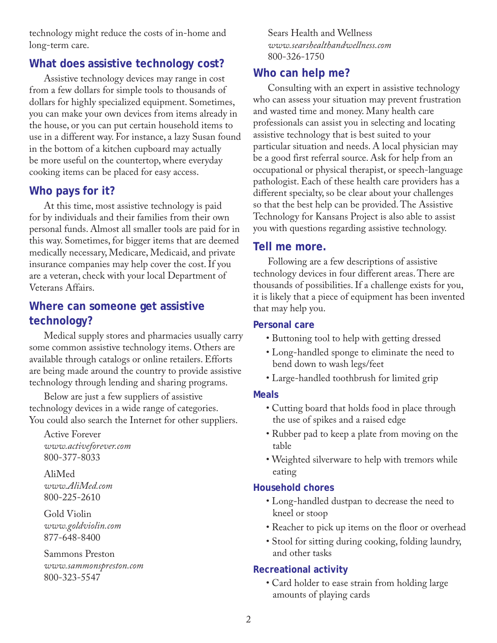technology might reduce the costs of in-home and long-term care.

# **What does assistive technology cost?**

Assistive technology devices may range in cost from a few dollars for simple tools to thousands of dollars for highly specialized equipment. Sometimes, you can make your own devices from items already in the house, or you can put certain household items to use in a different way. For instance, a lazy Susan found in the bottom of a kitchen cupboard may actually be more useful on the countertop, where everyday cooking items can be placed for easy access.

# **Who pays for it?**

At this time, most assistive technology is paid for by individuals and their families from their own personal funds. Almost all smaller tools are paid for in this way. Sometimes, for bigger items that are deemed medically necessary, Medicare, Medicaid, and private insurance companies may help cover the cost. If you are a veteran, check with your local Department of Veterans Affairs.

# **Where can someone get assistive technology?**

Medical supply stores and pharmacies usually carry some common assistive technology items. Others are available through catalogs or online retailers. Efforts are being made around the country to provide assistive technology through lending and sharing programs.

Below are just a few suppliers of assistive technology devices in a wide range of categories. You could also search the Internet for other suppliers.

Active Forever *www.activeforever.com* 800-377-8033

AliMed *www.AliMed.com* 800-225-2610

Gold Violin *www.goldviolin.com* 877-648-8400

Sammons Preston *www.sammonspreston.com* 800-323-5547

Sears Health and Wellness *www.searshealthandwellness.com* 800-326-1750

# **Who can help me?**

Consulting with an expert in assistive technology who can assess your situation may prevent frustration and wasted time and money. Many health care professionals can assist you in selecting and locating assistive technology that is best suited to your particular situation and needs. A local physician may be a good first referral source. Ask for help from an occupational or physical therapist, or speech-language pathologist. Each of these health care providers has a different specialty, so be clear about your challenges so that the best help can be provided. The Assistive Technology for Kansans Project is also able to assist you with questions regarding assistive technology.

## **Tell me more.**

Following are a few descriptions of assistive technology devices in four different areas. There are thousands of possibilities. If a challenge exists for you, it is likely that a piece of equipment has been invented that may help you.

## **Personal care**

- Buttoning tool to help with getting dressed
- Long-handled sponge to eliminate the need to bend down to wash legs/feet
- Large-handled toothbrush for limited grip

## **Meals**

- Cutting board that holds food in place through the use of spikes and a raised edge
- Rubber pad to keep a plate from moving on the table
- Weighted silverware to help with tremors while eating

## **Household chores**

- Long-handled dustpan to decrease the need to kneel or stoop
- Reacher to pick up items on the floor or overhead
- Stool for sitting during cooking, folding laundry, and other tasks

## **Recreational activity**

• Card holder to ease strain from holding large amounts of playing cards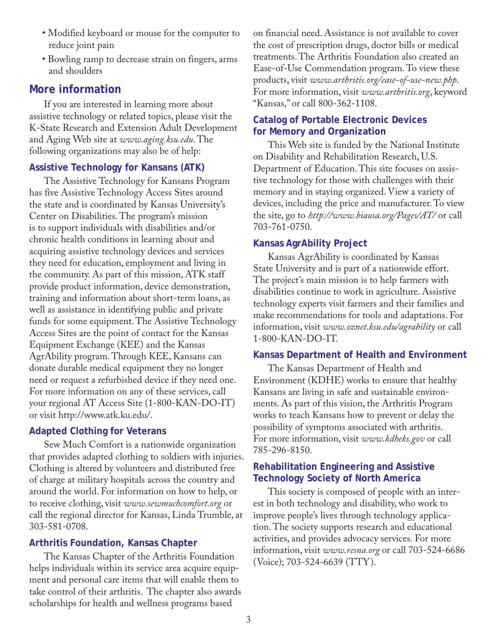- Modified keyboard or mouse for the computer to reduce joint pain
- Bowling ramp to decrease strain on fingers, arms and shoulders

## **More information**

If you are interested in learning more about assistive technology or related topics, please visit the K-State Research and Extension Adult Development and Aging Web site at *www.aging.ksu.edu*. The following organizations may also be of help:

#### **Assistive Technology for Kansans (ATK)**

The Assistive Technology for Kansans Program has five Assistive Technology Access Sites around the state and is coordinated by Kansas University's Center on Disabilities. The program's mission is to support individuals with disabilities and/or chronic health conditions in learning about and acquiring assistive technology devices and services they need for education, employment and living in the community. As part of this mission, ATK staff provide product information, device demonstration, training and information about short-term loans, as well as assistance in identifying public and private funds for some equipment. The Assistive Technology Access Sites are the point of contact for the Kansas Equipment Exchange (KEE) and the Kansas AgrAbility program. Through KEE, Kansans can donate durable medical equipment they no longer need or request a refurbished device if they need one. For more information on any of these services, call your regional AT Access Site (1-800-KAN-DO-IT) or visit http://www.atk.ku.edu/.

#### **Adapted Clothing for Veterans**

Sew Much Comfort is a nationwide organization that provides adapted clothing to soldiers with injuries. Clothing is altered by volunteers and distributed free of charge at military hospitals across the country and around the world. For information on how to help, or to receive clothing, visit *www.sewmuchcomfort.org* or call the regional director for Kansas, Linda Trumble, at 303-581-0708.

#### **Arthritis Foundation, Kansas Chapter**

The Kansas Chapter of the Arthritis Foundation helps individuals within its service area acquire equipment and personal care items that will enable them to take control of their arthritis. The chapter also awards scholarships for health and wellness programs based

on financial need. Assistance is not available to cover the cost of prescription drugs, doctor bills or medical treatments. The Arthritis Foundation also created an Ease-of-Use Commendation program. To view these products, visit *www.arthritis.org/ease-of-use-new.php*. For more information, visit *www.arthritis.org*, keyword "Kansas," or call 800-362-1108.

#### **Catalog of Portable Electronic Devices for Memory and Organization**

This Web site is funded by the National Institute on Disability and Rehabilitation Research, U.S. Department of Education. This site focuses on assistive technology for those with challenges with their memory and in staying organized. View a variety of devices, including the price and manufacturer. To view the site, go to *http://www.biausa.org/Pages/AT/* or call 703-761-0750.

#### **Kansas AgrAbility Project**

Kansas AgrAbility is coordinated by Kansas State University and is part of a nationwide effort. The project's main mission is to help farmers with disabilities continue to work in agriculture. Assistive technology experts visit farmers and their families and make recommendations for tools and adaptations. For information, visit *www.oznet.ksu.edu/agrability* or call 1-800-KAN-DO-IT.

#### **Kansas Department of Health and Environment**

The Kansas Department of Health and Environment (KDHE) works to ensure that healthy Kansans are living in safe and sustainable environments. As part of this vision, the Arthritis Program works to teach Kansans how to prevent or delay the possibility of symptoms associated with arthritis. For more information, visit *www.kdheks.gov* or call 785-296-8150.

#### **Rehabilitation Engineering and Assistive Technology Society of North America**

This society is composed of people with an interest in both technology and disability, who work to improve people's lives through technology application. The society supports research and educational activities, and provides advocacy services. For more information, visit *www.resna.org* or call 703-524-6686 (Voice); 703-524-6639 (TTY).